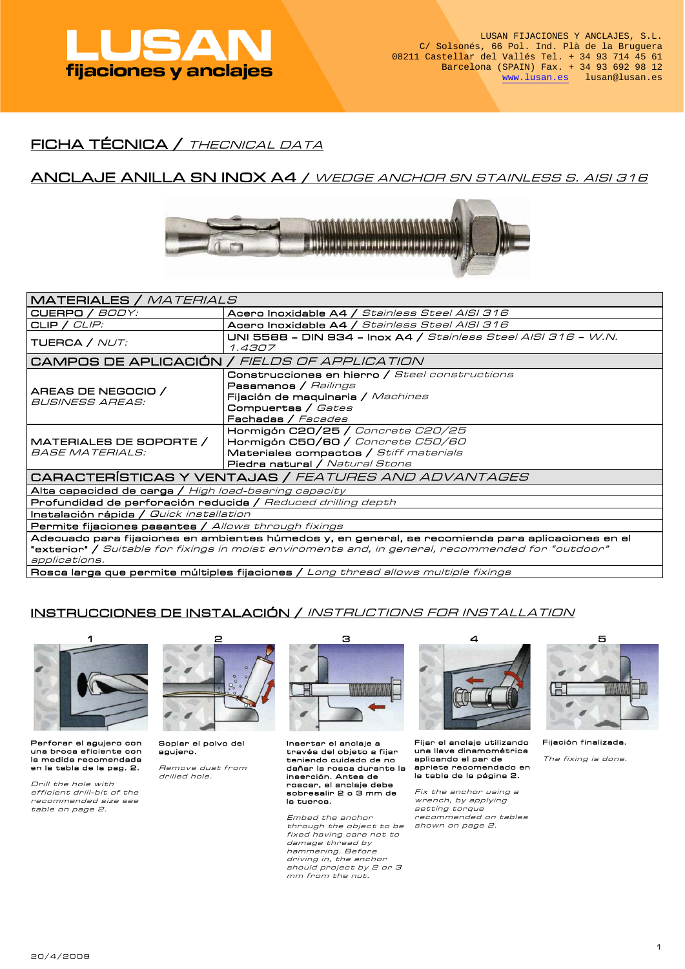

# FICHA TÉCNICA / THECNICAL DATA

## ANCLAJE ANILLA SN INOX A4 / WEDGE ANCHOR SN STAINLESS S. AISI 316



| MATERIALES / MATERIALS                                                                                    |                                                                          |  |  |  |  |  |  |  |
|-----------------------------------------------------------------------------------------------------------|--------------------------------------------------------------------------|--|--|--|--|--|--|--|
| CUERPO / BODY:                                                                                            | Acero Inoxidable A4 / Stainless Steel AISI 316                           |  |  |  |  |  |  |  |
| CLIP / $CLIP$ :                                                                                           | Acero Inoxidable A4 / Stainless Steel AISI 316                           |  |  |  |  |  |  |  |
| TUERCA / <i>NUT:</i>                                                                                      | UNI 5588 - DIN 934 - Inox A4 / Stainless Steel AISI 316 - W.N.<br>1.4307 |  |  |  |  |  |  |  |
| CAMPOS DE APLICACIÓN / FIELDS OF APPLICATION                                                              |                                                                          |  |  |  |  |  |  |  |
|                                                                                                           | Construcciones en hierro / Steel constructions                           |  |  |  |  |  |  |  |
| AREAS DE NEGOCIO /                                                                                        | <b>Pasamanos / Railings</b>                                              |  |  |  |  |  |  |  |
| BUSINESS AREAS:                                                                                           | Fijación de maquinaria / Machines                                        |  |  |  |  |  |  |  |
|                                                                                                           | Compuertas / Gates                                                       |  |  |  |  |  |  |  |
|                                                                                                           | Fachadas / Facades                                                       |  |  |  |  |  |  |  |
|                                                                                                           | Hormigón C20/25 / Concrete C20/25                                        |  |  |  |  |  |  |  |
| MATERIALES DE SOPORTE /                                                                                   | Hormigón C50/60 / Concrete C50/60                                        |  |  |  |  |  |  |  |
| <i>BASE MATERIALS:</i>                                                                                    | Materiales compactos / Stiff materials                                   |  |  |  |  |  |  |  |
|                                                                                                           | <b>Piedra natural / Natural Stone</b>                                    |  |  |  |  |  |  |  |
| CARACTERÍSTICAS Y VENTAJAS / FEATURES AND ADVANTAGES                                                      |                                                                          |  |  |  |  |  |  |  |
| Alta capacidad de carga / High load-bearing capacity                                                      |                                                                          |  |  |  |  |  |  |  |
| Profundidad de perforación reducida / Reduced drilling depth                                              |                                                                          |  |  |  |  |  |  |  |
| <b>Instalación rápida /</b> Quick installation                                                            |                                                                          |  |  |  |  |  |  |  |
| <b>Permite fijaciones pasantes /</b> Allows through fixings                                               |                                                                          |  |  |  |  |  |  |  |
| Adecuado para fijaciones en ambientes húmedos y, en general, se recomienda para aplicaciones en el        |                                                                          |  |  |  |  |  |  |  |
| " <b>exterior" /</b> Suitable for fixings in moist enviroments and, in general, recommended for "outdoor" |                                                                          |  |  |  |  |  |  |  |
| applications.                                                                                             |                                                                          |  |  |  |  |  |  |  |

Rosca larga que permite múltiples fijaciones / Long thread allows multiple fixings

## INSTRUCCIONES DE INSTALACIÓN / INSTRUCTIONS FOR INSTALLATION



Perforar el agujero con una broca eficiente con la medida recomendada en la tabla de la pag. 2 .

 Drill the hole with efficient drill-bit of the recommended size see table on page 2.



Soplar el polvo del agujero.

 Remove dust from drilled hole.



Insertar el anclaje a través del objeto a fijar teniendo cuidado de no dañar la rosca durante la inserción. Antes de roscar, el anclaje debe sobresalir 2 o 3 mm de la tuerca.

 Embed the anchor through the object to be fixed having care not to damage thread by hammering. Before driving in, the anchor should project by 2 or 3 mm from the nut.



Fijar el anclaje utilizando una llave dinamométrica aplicando el par de apriete recomendado en<br>la tabla de la página 2.

Fix the anchor using a wrench, by applying setting torque recommended on tables shown on page 2.



Fijación finalizada.

The fixing is done.